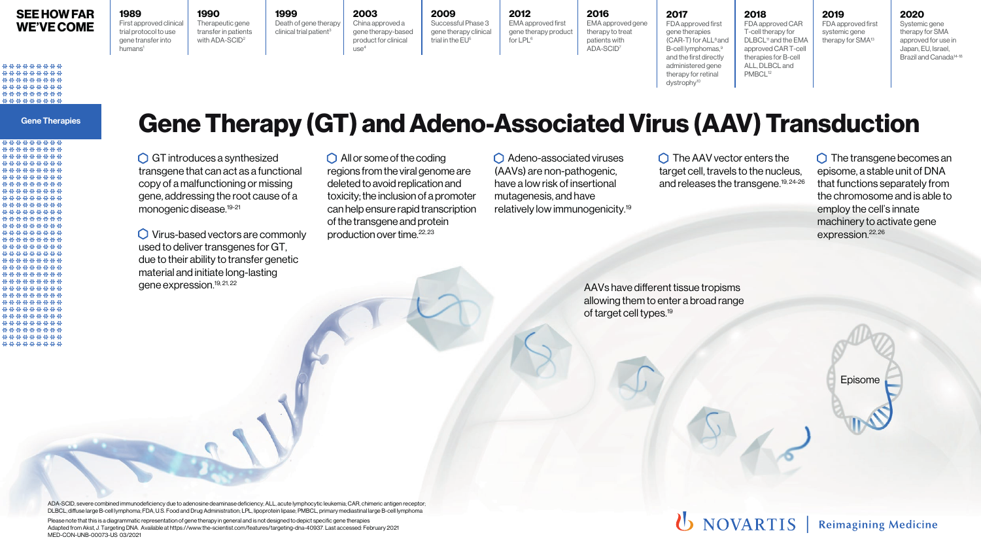Gene Therapies

## **Gene Therapy (GT) and Adeno-Associated Virus (AAV) Transduction**

 $\bigcirc$  GT introduces a synthesized transgene that can act as a functional copy of a malfunctioning or missing gene, addressing the root cause of a monogenic disease.<sup>19-21</sup>

 Virus-based vectors are commonly used to deliver transgenes for GT, due to their ability to transfer genetic material and initiate long-lasting gene expression.<sup>19, 21, 22</sup>

 $\bigcirc$  All or some of the coding regions from the viral genome are deleted to avoid replication and toxicity; the inclusion of a promoter can help ensure rapid transcription of the transgene and protein production over time.22, 23

ADA-SCID, severe combined immunodeficiency due to adenosine deaminase deficiency; ALL, acute lymphocytic leukemia; CAR, chimeric antigen receptor; DLBCL, diffuse large B-cell lymphoma; FDA, U.S. Food and Drug Administration; LPL, lipoprotein lipase; PMBCL, primary mediastinal large B-cell lymphoma

 Adeno-associated viruses (AAVs) are non-pathogenic, have a low risk of insertional mutagenesis, and have relatively low immunogenicity.19  $\bigcap$  The AAV vector enters the target cell, travels to the nucleus, and releases the transgene.<sup>19, 24-26</sup>

therapy for retinal dystrophy<sup>10</sup>

AAVs have different tissue tropisms allowing them to enter a broad range of target cell types.<sup>19</sup>

FDA approved CAR T-cell therapy for DLBCL<sup>11</sup> and the EMA approved CAR T-cell therapies for B-cell ALL, DLBCL and PMBCL<sup>12</sup>

**2019** FDA approved first systemic gene therapy for SMA<sup>13</sup>

Please note that this is a diagrammatic representation of gene therapy in general and is not designed to depict specific gene therapies Adapted from Akst, J. Targeting DNA. Available at https://www.the-scientist.com/features/targeting-dna-40937. Last accessed: February 2021 MED-CON-UNB-00073-US 03/2021

| <b>SEE HOW FAR</b><br><b>WE'VE COME</b> | 1989<br>First approved clinical<br>trial protocol to use<br>gene transfer into<br>humans <sup>1</sup> | 1990<br>Therapeutic gene<br>transfer in patients<br>with ADA-SCID <sup>2</sup> | 1999<br>Death of gene therapy<br>clinical trial patient <sup>3</sup> | 2003<br>China approved a<br>gene therapy-based<br>product for clinical<br>USE <sup>4</sup> | 2009<br>Successful Phase 3<br>gene therapy clinical<br>trial in the EU <sup>5</sup> | 2012<br>EMA approved first<br>gene therapy product<br>for LPL <sup>6</sup> | 2016<br>EMA approved gene<br>therapy to treat<br>patients with<br>ADA-SCID <sup>7</sup> | 2017<br>FDA approved first<br>gene therapies<br>$(CAR-T)$ for $ALL8$ and<br>B-cell lymphomas, <sup>9</sup> |
|-----------------------------------------|-------------------------------------------------------------------------------------------------------|--------------------------------------------------------------------------------|----------------------------------------------------------------------|--------------------------------------------------------------------------------------------|-------------------------------------------------------------------------------------|----------------------------------------------------------------------------|-----------------------------------------------------------------------------------------|------------------------------------------------------------------------------------------------------------|
| 000000                                  |                                                                                                       |                                                                                |                                                                      |                                                                                            |                                                                                     |                                                                            |                                                                                         | and the first directly<br>administered gene                                                                |

8888888

## **2018**

**2020** Systemic gene therapy for SMA approved for use in Japan, EU, Israel, Brazil and Canada14-18



 $\bigcirc$  The transgene becomes an episome, a stable unit of DNA that functions separately from the chromosome and is able to employ the cell's innate machinery to activate gene expression.<sup>22, 26</sup>

Episome

U NOVARTIS **Reimagining Medicine**